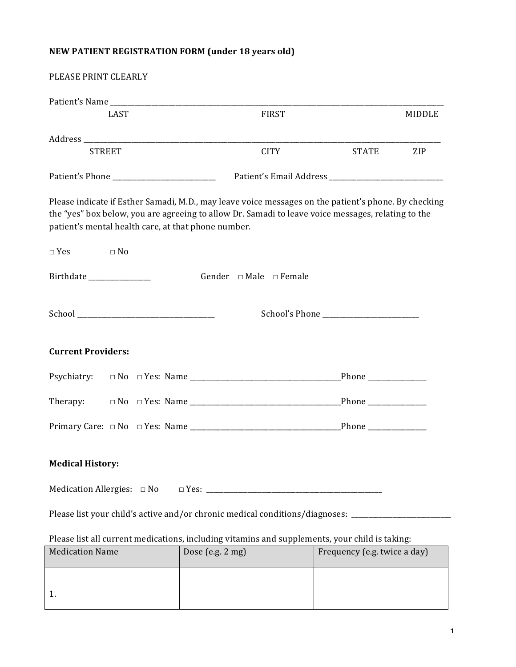## **NEW PATIENT REGISTRATION FORM (under 18 years old)**

1.

| PLEASE PRINT CLEARLY                                                                           |                                                                                                                                                                                                            |                              |  |  |
|------------------------------------------------------------------------------------------------|------------------------------------------------------------------------------------------------------------------------------------------------------------------------------------------------------------|------------------------------|--|--|
|                                                                                                |                                                                                                                                                                                                            |                              |  |  |
| <b>LAST</b>                                                                                    | <b>FIRST</b>                                                                                                                                                                                               | <b>MIDDLE</b>                |  |  |
|                                                                                                |                                                                                                                                                                                                            |                              |  |  |
| <b>STREET</b>                                                                                  | <b>CITY</b>                                                                                                                                                                                                | <b>STATE</b><br>ZIP          |  |  |
|                                                                                                |                                                                                                                                                                                                            |                              |  |  |
| patient's mental health care, at that phone number.                                            | Please indicate if Esther Samadi, M.D., may leave voice messages on the patient's phone. By checking<br>the "yes" box below, you are agreeing to allow Dr. Samadi to leave voice messages, relating to the |                              |  |  |
| $\Box$ Yes<br>$\Box$ No                                                                        |                                                                                                                                                                                                            |                              |  |  |
| Birthdate ________________                                                                     | Gender $\Box$ Male $\Box$ Female                                                                                                                                                                           |                              |  |  |
|                                                                                                |                                                                                                                                                                                                            |                              |  |  |
| <b>Current Providers:</b>                                                                      |                                                                                                                                                                                                            |                              |  |  |
|                                                                                                |                                                                                                                                                                                                            |                              |  |  |
| Therapy:                                                                                       |                                                                                                                                                                                                            |                              |  |  |
|                                                                                                |                                                                                                                                                                                                            |                              |  |  |
| <b>Medical History:</b>                                                                        |                                                                                                                                                                                                            |                              |  |  |
|                                                                                                |                                                                                                                                                                                                            |                              |  |  |
| Please list your child's active and/or chronic medical conditions/diagnoses: __________        |                                                                                                                                                                                                            |                              |  |  |
| Please list all current medications, including vitamins and supplements, your child is taking: |                                                                                                                                                                                                            |                              |  |  |
| <b>Medication Name</b>                                                                         | Dose (e.g. 2 mg)                                                                                                                                                                                           | Frequency (e.g. twice a day) |  |  |
|                                                                                                |                                                                                                                                                                                                            |                              |  |  |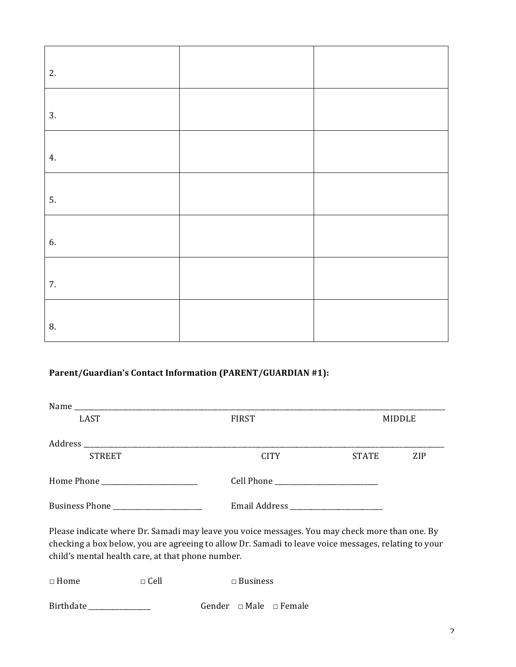| 2. |  |
|----|--|
|    |  |
| 3. |  |
| 4. |  |
| 5. |  |
| 6. |  |
| 7. |  |
| 8. |  |

## **Parent/Guardian's Contact Information (PARENT/GUARDIAN #1):**

| <b>LAST</b>    | <b>FIRST</b> | MIDDLE       |            |
|----------------|--------------|--------------|------------|
|                |              |              |            |
| <b>STREET</b>  | <b>CITY</b>  | <b>STATE</b> | <b>ZIP</b> |
|                |              |              |            |
| Business Phone |              |              |            |

Please indicate where Dr. Samadi may leave you voice messages. You may check more than one. By checking a box below, you are agreeing to allow Dr. Samadi to leave voice messages, relating to your child's mental health care, at that phone number.

| $\Box$ Home | $\sqcap$ Cell | $\Box$ Business |  |                                  |
|-------------|---------------|-----------------|--|----------------------------------|
| Birthdate   |               |                 |  | Gender $\Box$ Male $\Box$ Female |